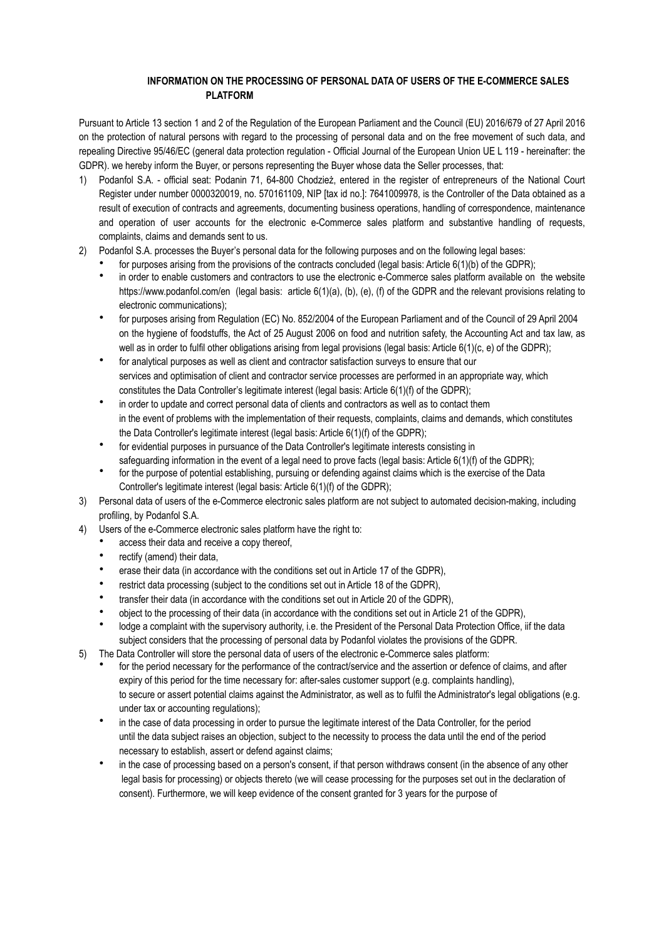## **INFORMATION ON THE PROCESSING OF PERSONAL DATA OF USERS OF THE E-COMMERCE SALES PLATFORM**

Pursuant to Article 13 section 1 and 2 of the Regulation of the European Parliament and the Council (EU) 2016/679 of 27 April 2016 on the protection of natural persons with regard to the processing of personal data and on the free movement of such data, and repealing Directive 95/46/EC (general data protection regulation - Official Journal of the European Union UE L 119 - hereinafter: the GDPR). we hereby inform the Buyer, or persons representing the Buyer whose data the Seller processes, that:

- 1) Podanfol S.A. official seat: Podanin 71, 64-800 Chodzież, entered in the register of entrepreneurs of the National Court Register under number 0000320019, no. 570161109, NIP Itax id no.]: 7641009978, is the Controller of the Data obtained as a result of execution of contracts and agreements, documenting business operations, handling of correspondence, maintenance and operation of user accounts for the electronic e-Commerce sales platform and substantive handling of requests, complaints, claims and demands sent to us.
- 2) Podanfol S.A. processes the Buyer's personal data for the following purposes and on the following legal bases:
	- for purposes arising from the provisions of the contracts concluded (legal basis: Article 6(1)(b) of the GDPR);
	- in order to enable customers and contractors to use the electronic e-Commerce sales platform available on [the website](http://www.podanfol.com/pl) [https://www.podanfol.com/en](http://www.podanfol.com/pl) (legal basis: article 6(1)(a), (b), (e), (f) of the GDPR and the relevant provisions relating to electronic communications);
	- for purposes arising from Regulation (EC) No. 852/2004 of the European Parliament and of the Council of 29 April 2004 on the hygiene of foodstuffs, the Act of 25 August 2006 on food and nutrition safety, the Accounting Act and tax law, as well as in order to fulfil other obligations arising from legal provisions (legal basis: Article 6(1)(c, e) of the GDPR);
	- for analytical purposes as well as client and contractor satisfaction surveys to ensure that our services and optimisation of client and contractor service processes are performed in an appropriate way, which constitutes the Data Controller's legitimate interest (legal basis: Article 6(1)(f) of the GDPR);
	- in order to update and correct personal data of clients and contractors as well as to contact them in the event of problems with the implementation of their requests, complaints, claims and demands, which constitutes the Data Controller's legitimate interest (legal basis: Article 6(1)(f) of the GDPR);
	- for evidential purposes in pursuance of the Data Controller's legitimate interests consisting in safeguarding information in the event of a legal need to prove facts (legal basis: Article 6(1)(f) of the GDPR);
	- for the purpose of potential establishing, pursuing or defending against claims which is the exercise of the Data Controller's legitimate interest (legal basis: Article 6(1)(f) of the GDPR);
- 3) Personal data of users of the e-Commerce electronic sales platform are not subject to automated decision-making, including profiling, by Podanfol S.A.
- 4) Users of the e-Commerce electronic sales platform have the right to:
	- access their data and receive a copy thereof,
	- rectify (amend) their data.
	- erase their data (in accordance with the conditions set out in Article 17 of the GDPR),
	- restrict data processing (subject to the conditions set out in Article 18 of the GDPR),
	- transfer their data (in accordance with the conditions set out in Article 20 of the GDPR),
	- object to the processing of their data (in accordance with the conditions set out in Article 21 of the GDPR),
	- lodge a complaint with the supervisory authority, i.e. the President of the Personal Data Protection Office, iif the data subject considers that the processing of personal data by Podanfol violates the provisions of the GDPR.
- 5) The Data Controller will store the personal data of users of the electronic e-Commerce sales platform:
	- for the period necessary for the performance of the contract/service and the assertion or defence of claims, and after expiry of this period for the time necessary for: after-sales customer support (e.g. complaints handling), to secure or assert potential claims against the Administrator, as well as to fulfil the Administrator's legal obligations (e.g. under tax or accounting regulations);
	- in the case of data processing in order to pursue the legitimate interest of the Data Controller, for the period until the data subject raises an objection, subject to the necessity to process the data until the end of the period necessary to establish, assert or defend against claims;
	- in the case of processing based on a person's consent, if that person withdraws consent (in the absence of any other legal basis for processing) or objects thereto (we will cease processing for the purposes set out in the declaration of consent). Furthermore, we will keep evidence of the consent granted for 3 years for the purpose of